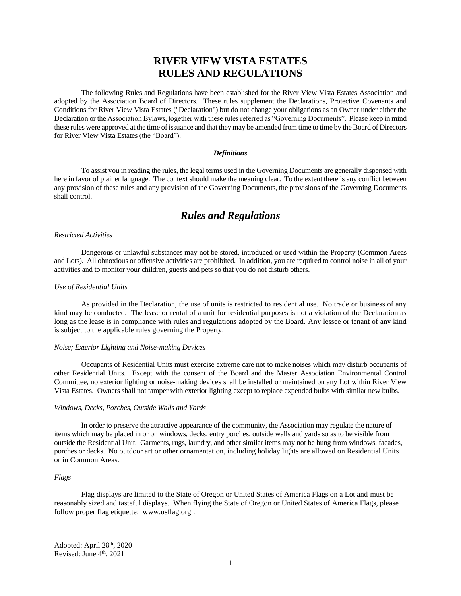# **RIVER VIEW VISTA ESTATES RULES AND REGULATIONS**

The following Rules and Regulations have been established for the River View Vista Estates Association and adopted by the Association Board of Directors. These rules supplement the Declarations, Protective Covenants and Conditions for River View Vista Estates ("Declaration") but do not change your obligations as an Owner under either the Declaration or the Association Bylaws, together with these rules referred as "Governing Documents". Please keep in mind these rules were approved at the time of issuance and that they may be amended from time to time by the Board of Directors for River View Vista Estates (the "Board").

## *Definitions*

To assist you in reading the rules, the legal terms used in the Governing Documents are generally dispensed with here in favor of plainer language. The context should make the meaning clear. To the extent there is any conflict between any provision of these rules and any provision of the Governing Documents, the provisions of the Governing Documents shall control.

## *Rules and Regulations*

## *Restricted Activities*

Dangerous or unlawful substances may not be stored, introduced or used within the Property (Common Areas and Lots). All obnoxious or offensive activities are prohibited. In addition, you are required to control noise in all of your activities and to monitor your children, guests and pets so that you do not disturb others.

## *Use of Residential Units*

As provided in the Declaration, the use of units is restricted to residential use. No trade or business of any kind may be conducted. The lease or rental of a unit for residential purposes is not a violation of the Declaration as long as the lease is in compliance with rules and regulations adopted by the Board. Any lessee or tenant of any kind is subject to the applicable rules governing the Property.

#### *Noise; Exterior Lighting and Noise-making Devices*

Occupants of Residential Units must exercise extreme care not to make noises which may disturb occupants of other Residential Units. Except with the consent of the Board and the Master Association Environmental Control Committee, no exterior lighting or noise-making devices shall be installed or maintained on any Lot within River View Vista Estates. Owners shall not tamper with exterior lighting except to replace expended bulbs with similar new bulbs.

## *Windows, Decks, Porches, Outside Walls and Yards*

In order to preserve the attractive appearance of the community, the Association may regulate the nature of items which may be placed in or on windows, decks, entry porches, outside walls and yards so as to be visible from outside the Residential Unit. Garments, rugs, laundry, and other similar items may not be hung from windows, facades, porches or decks. No outdoor art or other ornamentation, including holiday lights are allowed on Residential Units or in Common Areas.

## *Flags*

Flag displays are limited to the State of Oregon or United States of America Flags on a Lot and must be reasonably sized and tasteful displays. When flying the State of Oregon or United States of America Flags, please follow proper flag etiquette: [www.usflag.org](http://www.usflag.org/) .

Adopted: April 28th, 2020 Revised: June 4<sup>th</sup>, 2021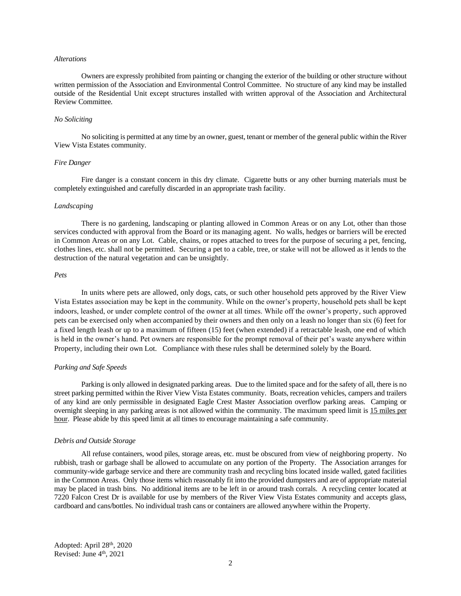#### *Alterations*

Owners are expressly prohibited from painting or changing the exterior of the building or other structure without written permission of the Association and Environmental Control Committee. No structure of any kind may be installed outside of the Residential Unit except structures installed with written approval of the Association and Architectural Review Committee.

## *No Soliciting*

No soliciting is permitted at any time by an owner, guest, tenant or member of the general public within the River View Vista Estates community.

## *Fire Danger*

Fire danger is a constant concern in this dry climate. Cigarette butts or any other burning materials must be completely extinguished and carefully discarded in an appropriate trash facility.

#### *Landscaping*

There is no gardening, landscaping or planting allowed in Common Areas or on any Lot, other than those services conducted with approval from the Board or its managing agent. No walls, hedges or barriers will be erected in Common Areas or on any Lot. Cable, chains, or ropes attached to trees for the purpose of securing a pet, fencing, clothes lines, etc. shall not be permitted. Securing a pet to a cable, tree, or stake will not be allowed as it lends to the destruction of the natural vegetation and can be unsightly.

## *Pets*

In units where pets are allowed, only dogs, cats, or such other household pets approved by the River View Vista Estates association may be kept in the community. While on the owner's property, household pets shall be kept indoors, leashed, or under complete control of the owner at all times. While off the owner's property, such approved pets can be exercised only when accompanied by their owners and then only on a leash no longer than six (6) feet for a fixed length leash or up to a maximum of fifteen (15) feet (when extended) if a retractable leash, one end of which is held in the owner's hand. Pet owners are responsible for the prompt removal of their pet's waste anywhere within Property, including their own Lot. Compliance with these rules shall be determined solely by the Board.

#### *Parking and Safe Speeds*

Parking is only allowed in designated parking areas. Due to the limited space and for the safety of all, there is no street parking permitted within the River View Vista Estates community. Boats, recreation vehicles, campers and trailers of any kind are only permissible in designated Eagle Crest Master Association overflow parking areas. Camping or overnight sleeping in any parking areas is not allowed within the community. The maximum speed limit is 15 miles per hour. Please abide by this speed limit at all times to encourage maintaining a safe community.

#### *Debris and Outside Storage*

All refuse containers, wood piles, storage areas, etc. must be obscured from view of neighboring property. No rubbish, trash or garbage shall be allowed to accumulate on any portion of the Property. The Association arranges for community-wide garbage service and there are community trash and recycling bins located inside walled, gated facilities in the Common Areas. Only those items which reasonably fit into the provided dumpsters and are of appropriate material may be placed in trash bins. No additional items are to be left in or around trash corrals. A recycling center located at 7220 Falcon Crest Dr is available for use by members of the River View Vista Estates community and accepts glass, cardboard and cans/bottles. No individual trash cans or containers are allowed anywhere within the Property.